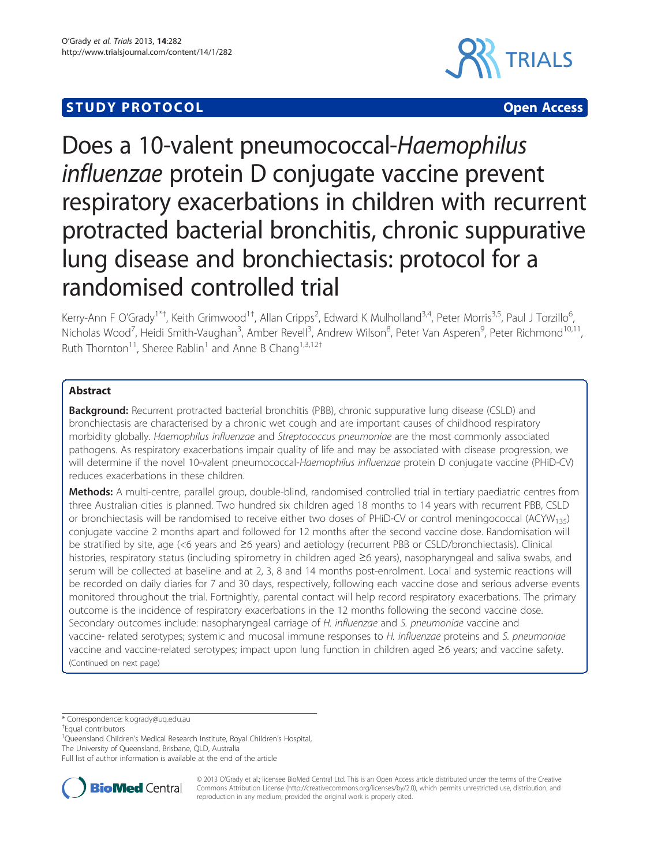# **STUDY PROTOCOL CONSUMING THE CONSUMING OPEN ACCESS**



# Does a 10-valent pneumococcal-Haemophilus influenzae protein D conjugate vaccine prevent respiratory exacerbations in children with recurrent protracted bacterial bronchitis, chronic suppurative lung disease and bronchiectasis: protocol for a randomised controlled trial

Kerry-Ann F O'Grady<sup>1\*†</sup>, Keith Grimwood<sup>1†</sup>, Allan Cripps<sup>2</sup>, Edward K Mulholland<sup>3,4</sup>, Peter Morris<sup>3,5</sup>, Paul J Torzillo<sup>6</sup> , Nicholas Wood<sup>7</sup>, Heidi Smith-Vaughan<sup>3</sup>, Amber Revell<sup>3</sup>, Andrew Wilson<sup>8</sup>, Peter Van Asperen<sup>9</sup>, Peter Richmond<sup>10,11</sup>, Ruth Thornton<sup>11</sup>, Sheree Rablin<sup>1</sup> and Anne B Chang<sup>1,3,12†</sup>

# Abstract

Background: Recurrent protracted bacterial bronchitis (PBB), chronic suppurative lung disease (CSLD) and bronchiectasis are characterised by a chronic wet cough and are important causes of childhood respiratory morbidity globally. Haemophilus influenzae and Streptococcus pneumoniae are the most commonly associated pathogens. As respiratory exacerbations impair quality of life and may be associated with disease progression, we will determine if the novel 10-valent pneumococcal-Haemophilus influenzae protein D conjugate vaccine (PHiD-CV) reduces exacerbations in these children.

Methods: A multi-centre, parallel group, double-blind, randomised controlled trial in tertiary paediatric centres from three Australian cities is planned. Two hundred six children aged 18 months to 14 years with recurrent PBB, CSLD or bronchiectasis will be randomised to receive either two doses of PHiD-CV or control meningococcal (ACYW135) conjugate vaccine 2 months apart and followed for 12 months after the second vaccine dose. Randomisation will be stratified by site, age (<6 years and ≥6 years) and aetiology (recurrent PBB or CSLD/bronchiectasis). Clinical histories, respiratory status (including spirometry in children aged ≥6 years), nasopharyngeal and saliva swabs, and serum will be collected at baseline and at 2, 3, 8 and 14 months post-enrolment. Local and systemic reactions will be recorded on daily diaries for 7 and 30 days, respectively, following each vaccine dose and serious adverse events monitored throughout the trial. Fortnightly, parental contact will help record respiratory exacerbations. The primary outcome is the incidence of respiratory exacerbations in the 12 months following the second vaccine dose. Secondary outcomes include: nasopharyngeal carriage of H. influenzae and S. pneumoniae vaccine and vaccine- related serotypes; systemic and mucosal immune responses to H. influenzae proteins and S. pneumoniae vaccine and vaccine-related serotypes; impact upon lung function in children aged ≥6 years; and vaccine safety. (Continued on next page)

\* Correspondence: [k.ogrady@uq.edu.au](mailto:k.ogrady@uq.edu.au) †

<sup>1</sup>Queensland Children's Medical Research Institute, Royal Children's Hospital,

The University of Queensland, Brisbane, QLD, Australia

Full list of author information is available at the end of the article



© 2013 O'Grady et al.; licensee BioMed Central Ltd. This is an Open Access article distributed under the terms of the Creative Commons Attribution License [\(http://creativecommons.org/licenses/by/2.0\)](http://creativecommons.org/licenses/by/2.0), which permits unrestricted use, distribution, and reproduction in any medium, provided the original work is properly cited.

<sup>&</sup>lt;sup>+</sup>Equal contributors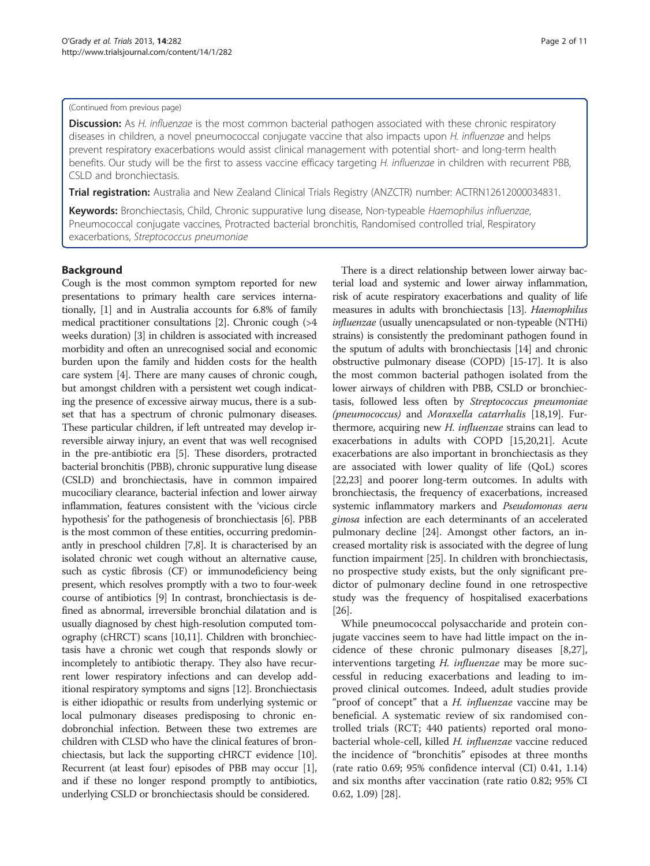#### (Continued from previous page)

Discussion: As H. influenzae is the most common bacterial pathogen associated with these chronic respiratory diseases in children, a novel pneumococcal conjugate vaccine that also impacts upon H. influenzae and helps prevent respiratory exacerbations would assist clinical management with potential short- and long-term health benefits. Our study will be the first to assess vaccine efficacy targeting H. influenzae in children with recurrent PBB, CSLD and bronchiectasis.

**Trial registration:** Australia and New Zealand Clinical Trials Registry (ANZCTR) number: [ACTRN12612000034831.](http://www.anzctr.org.au/ACTRN12612000034831)

Keywords: Bronchiectasis, Child, Chronic suppurative lung disease, Non-typeable Haemophilus influenzae, Pneumococcal conjugate vaccines, Protracted bacterial bronchitis, Randomised controlled trial, Respiratory exacerbations, Streptococcus pneumoniae

# **Background**

Cough is the most common symptom reported for new presentations to primary health care services internationally, [\[1\]](#page-9-0) and in Australia accounts for 6.8% of family medical practitioner consultations [\[2\]](#page-9-0). Chronic cough (>4 weeks duration) [[3](#page-9-0)] in children is associated with increased morbidity and often an unrecognised social and economic burden upon the family and hidden costs for the health care system [[4\]](#page-9-0). There are many causes of chronic cough, but amongst children with a persistent wet cough indicating the presence of excessive airway mucus, there is a subset that has a spectrum of chronic pulmonary diseases. These particular children, if left untreated may develop irreversible airway injury, an event that was well recognised in the pre-antibiotic era [[5\]](#page-9-0). These disorders, protracted bacterial bronchitis (PBB), chronic suppurative lung disease (CSLD) and bronchiectasis, have in common impaired mucociliary clearance, bacterial infection and lower airway inflammation, features consistent with the 'vicious circle hypothesis' for the pathogenesis of bronchiectasis [[6](#page-9-0)]. PBB is the most common of these entities, occurring predominantly in preschool children [\[7,8\]](#page-9-0). It is characterised by an isolated chronic wet cough without an alternative cause, such as cystic fibrosis (CF) or immunodeficiency being present, which resolves promptly with a two to four-week course of antibiotics [[9](#page-9-0)] In contrast, bronchiectasis is defined as abnormal, irreversible bronchial dilatation and is usually diagnosed by chest high-resolution computed tomography (cHRCT) scans [[10,11\]](#page-9-0). Children with bronchiectasis have a chronic wet cough that responds slowly or incompletely to antibiotic therapy. They also have recurrent lower respiratory infections and can develop additional respiratory symptoms and signs [\[12\]](#page-9-0). Bronchiectasis is either idiopathic or results from underlying systemic or local pulmonary diseases predisposing to chronic endobronchial infection. Between these two extremes are children with CLSD who have the clinical features of bronchiectasis, but lack the supporting cHRCT evidence [\[10](#page-9-0)]. Recurrent (at least four) episodes of PBB may occur [[1](#page-9-0)], and if these no longer respond promptly to antibiotics, underlying CSLD or bronchiectasis should be considered.

There is a direct relationship between lower airway bacterial load and systemic and lower airway inflammation, risk of acute respiratory exacerbations and quality of life measures in adults with bronchiectasis [\[13\]](#page-9-0). Haemophilus influenzae (usually unencapsulated or non-typeable (NTHi) strains) is consistently the predominant pathogen found in the sputum of adults with bronchiectasis [\[14](#page-9-0)] and chronic obstructive pulmonary disease (COPD) [\[15-17\]](#page-9-0). It is also the most common bacterial pathogen isolated from the lower airways of children with PBB, CSLD or bronchiectasis, followed less often by Streptococcus pneumoniae (pneumococcus) and Moraxella catarrhalis [[18,19](#page-9-0)]. Furthermore, acquiring new H. influenzae strains can lead to exacerbations in adults with COPD [\[15,20,21](#page-9-0)]. Acute exacerbations are also important in bronchiectasis as they are associated with lower quality of life (QoL) scores [[22](#page-9-0),[23](#page-9-0)] and poorer long-term outcomes. In adults with bronchiectasis, the frequency of exacerbations, increased systemic inflammatory markers and Pseudomonas aeru ginosa infection are each determinants of an accelerated pulmonary decline [\[24\]](#page-9-0). Amongst other factors, an increased mortality risk is associated with the degree of lung function impairment [\[25\]](#page-9-0). In children with bronchiectasis, no prospective study exists, but the only significant predictor of pulmonary decline found in one retrospective study was the frequency of hospitalised exacerbations [[26](#page-9-0)].

While pneumococcal polysaccharide and protein conjugate vaccines seem to have had little impact on the incidence of these chronic pulmonary diseases [\[8,27](#page-9-0)], interventions targeting H. influenzae may be more successful in reducing exacerbations and leading to improved clinical outcomes. Indeed, adult studies provide "proof of concept" that a *H. influenzae* vaccine may be beneficial. A systematic review of six randomised controlled trials (RCT; 440 patients) reported oral monobacterial whole-cell, killed H. influenzae vaccine reduced the incidence of "bronchitis" episodes at three months (rate ratio 0.69; 95% confidence interval (CI) 0.41, 1.14) and six months after vaccination (rate ratio 0.82; 95% CI 0.62, 1.09) [\[28](#page-9-0)].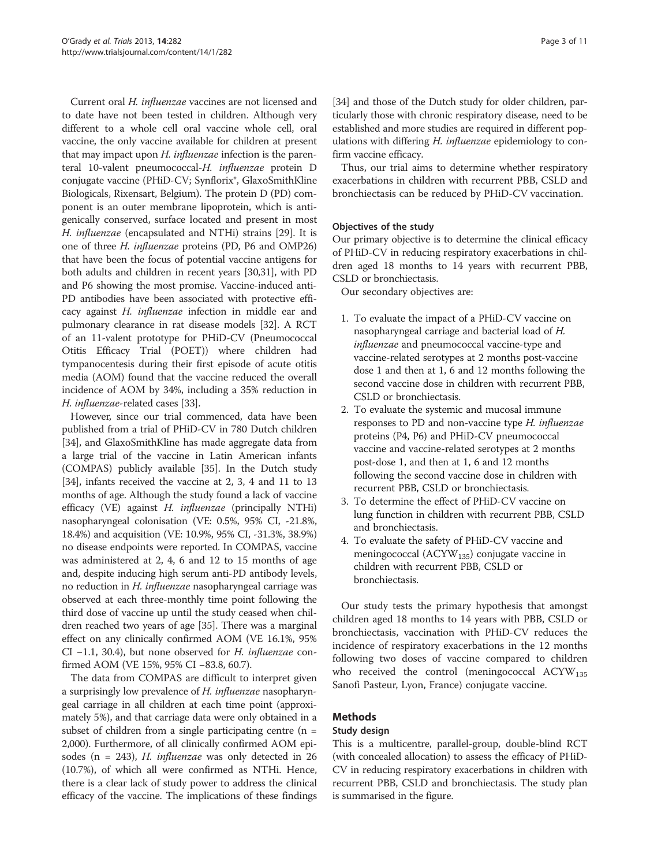Current oral H. influenzae vaccines are not licensed and to date have not been tested in children. Although very different to a whole cell oral vaccine whole cell, oral vaccine, the only vaccine available for children at present that may impact upon *H. influenzae* infection is the parenteral 10-valent pneumococcal-H. influenzae protein D conjugate vaccine (PHiD-CV; Synflorix®, GlaxoSmithKline Biologicals, Rixensart, Belgium). The protein D (PD) component is an outer membrane lipoprotein, which is antigenically conserved, surface located and present in most H. influenzae (encapsulated and NTHi) strains [[29](#page-9-0)]. It is one of three H. influenzae proteins (PD, P6 and OMP26) that have been the focus of potential vaccine antigens for both adults and children in recent years [\[30,31](#page-9-0)], with PD and P6 showing the most promise. Vaccine-induced anti-PD antibodies have been associated with protective efficacy against H. influenzae infection in middle ear and pulmonary clearance in rat disease models [\[32\]](#page-9-0). A RCT of an 11-valent prototype for PHiD-CV (Pneumococcal Otitis Efficacy Trial (POET)) where children had tympanocentesis during their first episode of acute otitis media (AOM) found that the vaccine reduced the overall incidence of AOM by 34%, including a 35% reduction in H. influenzae-related cases [\[33\]](#page-9-0).

However, since our trial commenced, data have been published from a trial of PHiD-CV in 780 Dutch children [[34](#page-9-0)], and GlaxoSmithKline has made aggregate data from a large trial of the vaccine in Latin American infants (COMPAS) publicly available [\[35\]](#page-9-0). In the Dutch study [[34](#page-9-0)], infants received the vaccine at 2, 3, 4 and 11 to 13 months of age. Although the study found a lack of vaccine efficacy (VE) against H. influenzae (principally NTHi) nasopharyngeal colonisation (VE: 0.5%, 95% CI, -21.8%, 18.4%) and acquisition (VE: 10.9%, 95% CI, -31.3%, 38.9%) no disease endpoints were reported. In COMPAS, vaccine was administered at 2, 4, 6 and 12 to 15 months of age and, despite inducing high serum anti-PD antibody levels, no reduction in H. influenzae nasopharyngeal carriage was observed at each three-monthly time point following the third dose of vaccine up until the study ceased when children reached two years of age [[35](#page-9-0)]. There was a marginal effect on any clinically confirmed AOM (VE 16.1%, 95% CI −1.1, 30.4), but none observed for H. influenzae confirmed AOM (VE 15%, 95% CI −83.8, 60.7).

The data from COMPAS are difficult to interpret given a surprisingly low prevalence of H. influenzae nasopharyngeal carriage in all children at each time point (approximately 5%), and that carriage data were only obtained in a subset of children from a single participating centre  $(n =$ 2,000). Furthermore, of all clinically confirmed AOM episodes (n = 243), *H. influenzae* was only detected in 26 (10.7%), of which all were confirmed as NTHi. Hence, there is a clear lack of study power to address the clinical efficacy of the vaccine. The implications of these findings

[[34](#page-9-0)] and those of the Dutch study for older children, particularly those with chronic respiratory disease, need to be established and more studies are required in different populations with differing H. influenzae epidemiology to confirm vaccine efficacy.

Thus, our trial aims to determine whether respiratory exacerbations in children with recurrent PBB, CSLD and bronchiectasis can be reduced by PHiD-CV vaccination.

# Objectives of the study

Our primary objective is to determine the clinical efficacy of PHiD-CV in reducing respiratory exacerbations in children aged 18 months to 14 years with recurrent PBB, CSLD or bronchiectasis.

Our secondary objectives are:

- 1. To evaluate the impact of a PHiD-CV vaccine on nasopharyngeal carriage and bacterial load of H. influenzae and pneumococcal vaccine-type and vaccine-related serotypes at 2 months post-vaccine dose 1 and then at 1, 6 and 12 months following the second vaccine dose in children with recurrent PBB, CSLD or bronchiectasis.
- 2. To evaluate the systemic and mucosal immune responses to PD and non-vaccine type H. influenzae proteins (P4, P6) and PHiD-CV pneumococcal vaccine and vaccine-related serotypes at 2 months post-dose 1, and then at 1, 6 and 12 months following the second vaccine dose in children with recurrent PBB, CSLD or bronchiectasis.
- 3. To determine the effect of PHiD-CV vaccine on lung function in children with recurrent PBB, CSLD and bronchiectasis.
- 4. To evaluate the safety of PHiD-CV vaccine and meningococcal ( $ACYW_{135}$ ) conjugate vaccine in children with recurrent PBB, CSLD or bronchiectasis.

Our study tests the primary hypothesis that amongst children aged 18 months to 14 years with PBB, CSLD or bronchiectasis, vaccination with PHiD-CV reduces the incidence of respiratory exacerbations in the 12 months following two doses of vaccine compared to children who received the control (meningococcal  $ACYW_{135}$ Sanofi Pasteur, Lyon, France) conjugate vaccine.

# Methods

# Study design

This is a multicentre, parallel-group, double-blind RCT (with concealed allocation) to assess the efficacy of PHiD-CV in reducing respiratory exacerbations in children with recurrent PBB, CSLD and bronchiectasis. The study plan is summarised in the figure.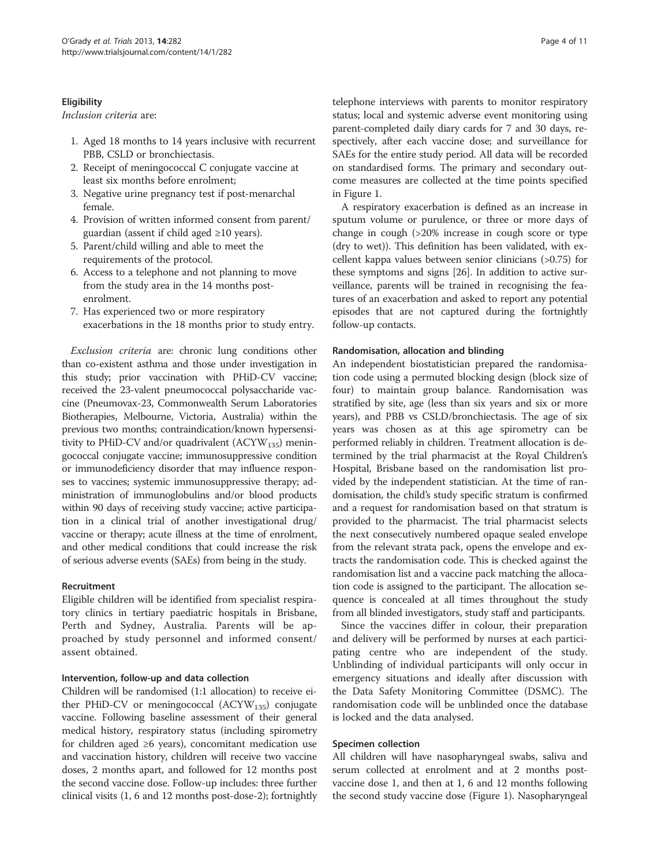#### **Eligibility**

#### Inclusion criteria are:

- 1. Aged 18 months to 14 years inclusive with recurrent PBB, CSLD or bronchiectasis.
- 2. Receipt of meningococcal C conjugate vaccine at least six months before enrolment;
- 3. Negative urine pregnancy test if post-menarchal female.
- 4. Provision of written informed consent from parent/ guardian (assent if child aged ≥10 years).
- 5. Parent/child willing and able to meet the requirements of the protocol.
- 6. Access to a telephone and not planning to move from the study area in the 14 months postenrolment.
- 7. Has experienced two or more respiratory exacerbations in the 18 months prior to study entry.

Exclusion criteria are: chronic lung conditions other than co-existent asthma and those under investigation in this study; prior vaccination with PHiD-CV vaccine; received the 23-valent pneumococcal polysaccharide vaccine (Pneumovax-23, Commonwealth Serum Laboratories Biotherapies, Melbourne, Victoria, Australia) within the previous two months; contraindication/known hypersensitivity to PHiD-CV and/or quadrivalent  $(ACYW_{135})$  meningococcal conjugate vaccine; immunosuppressive condition or immunodeficiency disorder that may influence responses to vaccines; systemic immunosuppressive therapy; administration of immunoglobulins and/or blood products within 90 days of receiving study vaccine; active participation in a clinical trial of another investigational drug/ vaccine or therapy; acute illness at the time of enrolment, and other medical conditions that could increase the risk of serious adverse events (SAEs) from being in the study.

#### Recruitment

Eligible children will be identified from specialist respiratory clinics in tertiary paediatric hospitals in Brisbane, Perth and Sydney, Australia. Parents will be approached by study personnel and informed consent/ assent obtained.

#### Intervention, follow-up and data collection

Children will be randomised (1:1 allocation) to receive either PHiD-CV or meningococcal  $(ACYW_{135})$  conjugate vaccine. Following baseline assessment of their general medical history, respiratory status (including spirometry for children aged ≥6 years), concomitant medication use and vaccination history, children will receive two vaccine doses, 2 months apart, and followed for 12 months post the second vaccine dose. Follow-up includes: three further clinical visits (1, 6 and 12 months post-dose-2); fortnightly

telephone interviews with parents to monitor respiratory status; local and systemic adverse event monitoring using parent-completed daily diary cards for 7 and 30 days, respectively, after each vaccine dose; and surveillance for SAEs for the entire study period. All data will be recorded on standardised forms. The primary and secondary outcome measures are collected at the time points specified in Figure [1.](#page-4-0)

A respiratory exacerbation is defined as an increase in sputum volume or purulence, or three or more days of change in cough (>20% increase in cough score or type (dry to wet)). This definition has been validated, with excellent kappa values between senior clinicians (>0.75) for these symptoms and signs [\[26\]](#page-9-0). In addition to active surveillance, parents will be trained in recognising the features of an exacerbation and asked to report any potential episodes that are not captured during the fortnightly follow-up contacts.

#### Randomisation, allocation and blinding

An independent biostatistician prepared the randomisation code using a permuted blocking design (block size of four) to maintain group balance. Randomisation was stratified by site, age (less than six years and six or more years), and PBB vs CSLD/bronchiectasis. The age of six years was chosen as at this age spirometry can be performed reliably in children. Treatment allocation is determined by the trial pharmacist at the Royal Children's Hospital, Brisbane based on the randomisation list provided by the independent statistician. At the time of randomisation, the child's study specific stratum is confirmed and a request for randomisation based on that stratum is provided to the pharmacist. The trial pharmacist selects the next consecutively numbered opaque sealed envelope from the relevant strata pack, opens the envelope and extracts the randomisation code. This is checked against the randomisation list and a vaccine pack matching the allocation code is assigned to the participant. The allocation sequence is concealed at all times throughout the study from all blinded investigators, study staff and participants.

Since the vaccines differ in colour, their preparation and delivery will be performed by nurses at each participating centre who are independent of the study. Unblinding of individual participants will only occur in emergency situations and ideally after discussion with the Data Safety Monitoring Committee (DSMC). The randomisation code will be unblinded once the database is locked and the data analysed.

#### Specimen collection

All children will have nasopharyngeal swabs, saliva and serum collected at enrolment and at 2 months postvaccine dose 1, and then at 1, 6 and 12 months following the second study vaccine dose (Figure [1](#page-4-0)). Nasopharyngeal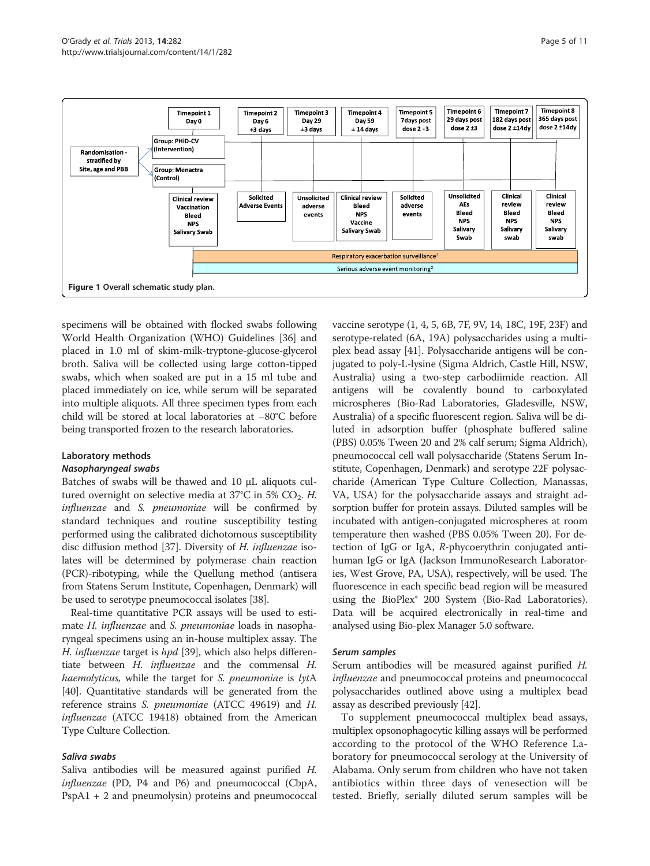<span id="page-4-0"></span>

specimens will be obtained with flocked swabs following World Health Organization (WHO) Guidelines [\[36\]](#page-9-0) and placed in 1.0 ml of skim-milk-tryptone-glucose-glycerol broth. Saliva will be collected using large cotton-tipped swabs, which when soaked are put in a 15 ml tube and placed immediately on ice, while serum will be separated into multiple aliquots. All three specimen types from each child will be stored at local laboratories at −80°C before being transported frozen to the research laboratories.

#### Laboratory methods

#### Nasopharyngeal swabs

Batches of swabs will be thawed and 10 μL aliquots cultured overnight on selective media at  $37^{\circ}$ C in 5% CO<sub>2</sub>. H. influenzae and S. pneumoniae will be confirmed by standard techniques and routine susceptibility testing performed using the calibrated dichotomous susceptibility disc diffusion method [\[37\]](#page-9-0). Diversity of H. influenzae isolates will be determined by polymerase chain reaction (PCR)-ribotyping, while the Quellung method (antisera from Statens Serum Institute, Copenhagen, Denmark) will be used to serotype pneumococcal isolates [[38](#page-9-0)].

Real-time quantitative PCR assays will be used to estimate *H. influenzae* and *S. pneumoniae* loads in nasopharyngeal specimens using an in-house multiplex assay. The H. *influenzae* target is *hpd* [\[39\]](#page-9-0), which also helps differentiate between H. influenzae and the commensal H. haemolyticus, while the target for *S. pneumoniae* is lytA [[40](#page-9-0)]. Quantitative standards will be generated from the reference strains S. pneumoniae (ATCC 49619) and H. influenzae (ATCC 19418) obtained from the American Type Culture Collection.

# Saliva swabs

Saliva antibodies will be measured against purified H. influenzae (PD, P4 and P6) and pneumococcal (CbpA, PspA1 + 2 and pneumolysin) proteins and pneumococcal vaccine serotype (1, 4, 5, 6B, 7F, 9V, 14, 18C, 19F, 23F) and serotype-related (6A, 19A) polysaccharides using a multiplex bead assay [\[41](#page-9-0)]. Polysaccharide antigens will be conjugated to poly-L-lysine (Sigma Aldrich, Castle Hill, NSW, Australia) using a two-step carbodiimide reaction. All antigens will be covalently bound to carboxylated microspheres (Bio-Rad Laboratories, Gladesville, NSW, Australia) of a specific fluorescent region. Saliva will be diluted in adsorption buffer (phosphate buffered saline (PBS) 0.05% Tween 20 and 2% calf serum; Sigma Aldrich), pneumococcal cell wall polysaccharide (Statens Serum Institute, Copenhagen, Denmark) and serotype 22F polysaccharide (American Type Culture Collection, Manassas, VA, USA) for the polysaccharide assays and straight adsorption buffer for protein assays. Diluted samples will be incubated with antigen-conjugated microspheres at room temperature then washed (PBS 0.05% Tween 20). For detection of IgG or IgA, R-phycoerythrin conjugated antihuman IgG or IgA (Jackson ImmunoResearch Laboratories, West Grove, PA, USA), respectively, will be used. The fluorescence in each specific bead region will be measured using the BioPlex® 200 System (Bio-Rad Laboratories). Data will be acquired electronically in real-time and analysed using Bio-plex Manager 5.0 software.

# Serum samples

Serum antibodies will be measured against purified H. influenzae and pneumococcal proteins and pneumococcal polysaccharides outlined above using a multiplex bead assay as described previously [[42](#page-10-0)].

To supplement pneumococcal multiplex bead assays, multiplex opsonophagocytic killing assays will be performed according to the protocol of the WHO Reference Laboratory for pneumococcal serology at the University of Alabama. Only serum from children who have not taken antibiotics within three days of venesection will be tested. Briefly, serially diluted serum samples will be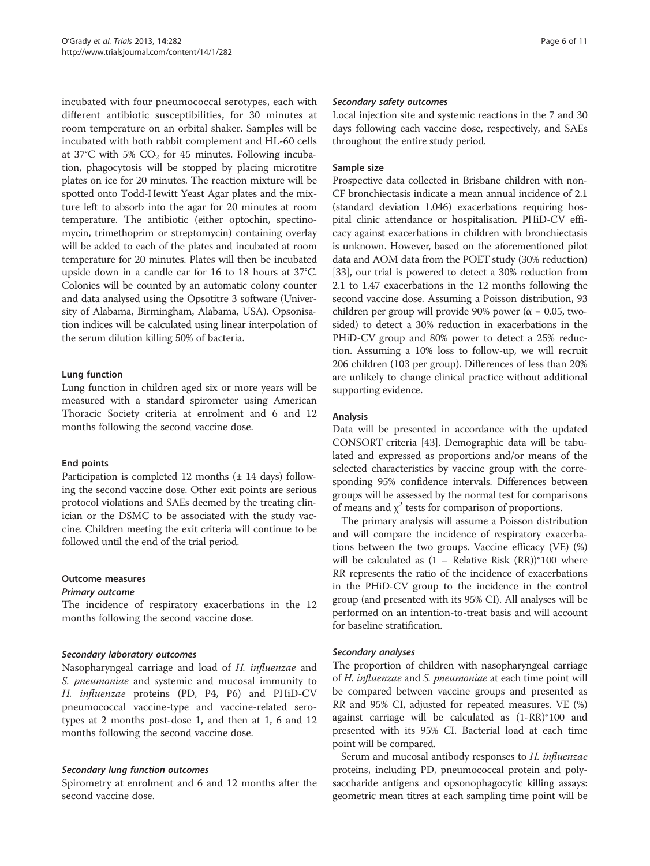incubated with four pneumococcal serotypes, each with different antibiotic susceptibilities, for 30 minutes at room temperature on an orbital shaker. Samples will be incubated with both rabbit complement and HL-60 cells at 37°C with 5%  $CO<sub>2</sub>$  for 45 minutes. Following incubation, phagocytosis will be stopped by placing microtitre plates on ice for 20 minutes. The reaction mixture will be spotted onto Todd-Hewitt Yeast Agar plates and the mixture left to absorb into the agar for 20 minutes at room temperature. The antibiotic (either optochin, spectinomycin, trimethoprim or streptomycin) containing overlay will be added to each of the plates and incubated at room temperature for 20 minutes. Plates will then be incubated upside down in a candle car for 16 to 18 hours at 37°C. Colonies will be counted by an automatic colony counter and data analysed using the Opsotitre 3 software (University of Alabama, Birmingham, Alabama, USA). Opsonisation indices will be calculated using linear interpolation of the serum dilution killing 50% of bacteria.

#### Lung function

Lung function in children aged six or more years will be measured with a standard spirometer using American Thoracic Society criteria at enrolment and 6 and 12 months following the second vaccine dose.

# End points

Participation is completed 12 months (± 14 days) following the second vaccine dose. Other exit points are serious protocol violations and SAEs deemed by the treating clinician or the DSMC to be associated with the study vaccine. Children meeting the exit criteria will continue to be followed until the end of the trial period.

# Outcome measures

#### Primary outcome

The incidence of respiratory exacerbations in the 12 months following the second vaccine dose.

# Secondary laboratory outcomes

Nasopharyngeal carriage and load of H. influenzae and S. pneumoniae and systemic and mucosal immunity to H. influenzae proteins (PD, P4, P6) and PHiD-CV pneumococcal vaccine-type and vaccine-related serotypes at 2 months post-dose 1, and then at 1, 6 and 12 months following the second vaccine dose.

# Secondary lung function outcomes

Spirometry at enrolment and 6 and 12 months after the second vaccine dose.

#### Secondary safety outcomes

Local injection site and systemic reactions in the 7 and 30 days following each vaccine dose, respectively, and SAEs throughout the entire study period.

#### Sample size

Prospective data collected in Brisbane children with non-CF bronchiectasis indicate a mean annual incidence of 2.1 (standard deviation 1.046) exacerbations requiring hospital clinic attendance or hospitalisation. PHiD-CV efficacy against exacerbations in children with bronchiectasis is unknown. However, based on the aforementioned pilot data and AOM data from the POET study (30% reduction) [[33](#page-9-0)], our trial is powered to detect a 30% reduction from 2.1 to 1.47 exacerbations in the 12 months following the second vaccine dose. Assuming a Poisson distribution, 93 children per group will provide 90% power ( $\alpha$  = 0.05, twosided) to detect a 30% reduction in exacerbations in the PHiD-CV group and 80% power to detect a 25% reduction. Assuming a 10% loss to follow-up, we will recruit 206 children (103 per group). Differences of less than 20% are unlikely to change clinical practice without additional supporting evidence.

# Analysis

Data will be presented in accordance with the updated CONSORT criteria [\[43\]](#page-10-0). Demographic data will be tabulated and expressed as proportions and/or means of the selected characteristics by vaccine group with the corresponding 95% confidence intervals. Differences between groups will be assessed by the normal test for comparisons of means and  $\chi^2$  tests for comparison of proportions.

The primary analysis will assume a Poisson distribution and will compare the incidence of respiratory exacerbations between the two groups. Vaccine efficacy (VE) (%) will be calculated as  $(1 - Relative Risk (RR))*100$  where RR represents the ratio of the incidence of exacerbations in the PHiD-CV group to the incidence in the control group (and presented with its 95% CI). All analyses will be performed on an intention-to-treat basis and will account for baseline stratification.

# Secondary analyses

The proportion of children with nasopharyngeal carriage of H. influenzae and S. pneumoniae at each time point will be compared between vaccine groups and presented as RR and 95% CI, adjusted for repeated measures. VE (%) against carriage will be calculated as (1-RR)\*100 and presented with its 95% CI. Bacterial load at each time point will be compared.

Serum and mucosal antibody responses to H. influenzae proteins, including PD, pneumococcal protein and polysaccharide antigens and opsonophagocytic killing assays: geometric mean titres at each sampling time point will be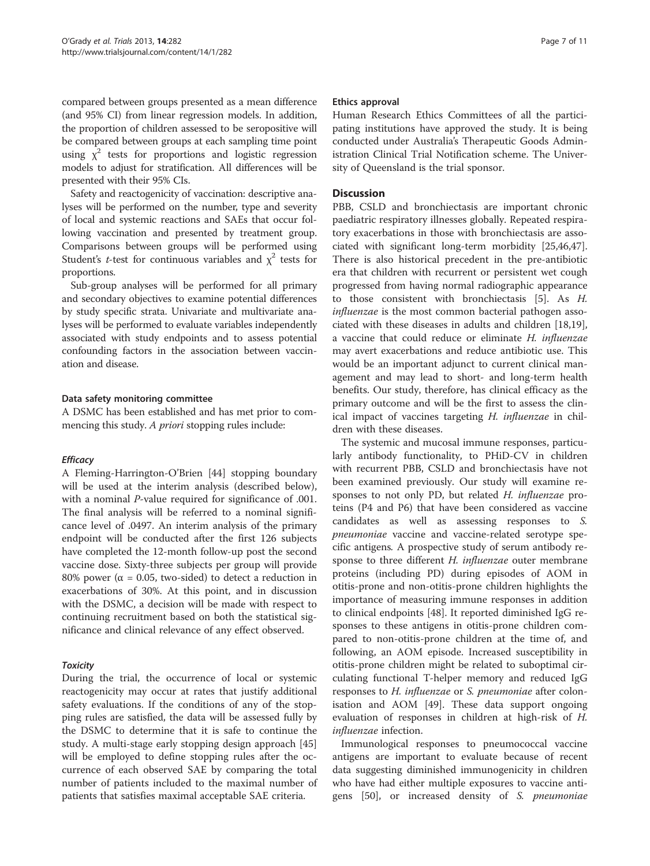compared between groups presented as a mean difference (and 95% CI) from linear regression models. In addition, the proportion of children assessed to be seropositive will be compared between groups at each sampling time point using  $\chi^2$  tests for proportions and logistic regression models to adjust for stratification. All differences will be presented with their 95% CIs.

Safety and reactogenicity of vaccination: descriptive analyses will be performed on the number, type and severity of local and systemic reactions and SAEs that occur following vaccination and presented by treatment group. Comparisons between groups will be performed using Student's *t*-test for continuous variables and  $\chi^2$  tests for proportions.

Sub-group analyses will be performed for all primary and secondary objectives to examine potential differences by study specific strata. Univariate and multivariate analyses will be performed to evaluate variables independently associated with study endpoints and to assess potential confounding factors in the association between vaccination and disease.

#### Data safety monitoring committee

A DSMC has been established and has met prior to commencing this study. A *priori* stopping rules include:

#### **Efficacy**

A Fleming-Harrington-O'Brien [[44\]](#page-10-0) stopping boundary will be used at the interim analysis (described below), with a nominal P-value required for significance of .001. The final analysis will be referred to a nominal significance level of .0497. An interim analysis of the primary endpoint will be conducted after the first 126 subjects have completed the 12-month follow-up post the second vaccine dose. Sixty-three subjects per group will provide 80% power ( $\alpha$  = 0.05, two-sided) to detect a reduction in exacerbations of 30%. At this point, and in discussion with the DSMC, a decision will be made with respect to continuing recruitment based on both the statistical significance and clinical relevance of any effect observed.

#### Toxicity

During the trial, the occurrence of local or systemic reactogenicity may occur at rates that justify additional safety evaluations. If the conditions of any of the stopping rules are satisfied, the data will be assessed fully by the DSMC to determine that it is safe to continue the study. A multi-stage early stopping design approach [[45](#page-10-0)] will be employed to define stopping rules after the occurrence of each observed SAE by comparing the total number of patients included to the maximal number of patients that satisfies maximal acceptable SAE criteria.

#### Ethics approval

Human Research Ethics Committees of all the participating institutions have approved the study. It is being conducted under Australia's Therapeutic Goods Administration Clinical Trial Notification scheme. The University of Queensland is the trial sponsor.

#### **Discussion**

PBB, CSLD and bronchiectasis are important chronic paediatric respiratory illnesses globally. Repeated respiratory exacerbations in those with bronchiectasis are associated with significant long-term morbidity [[25](#page-9-0)[,46,47](#page-10-0)]. There is also historical precedent in the pre-antibiotic era that children with recurrent or persistent wet cough progressed from having normal radiographic appearance to those consistent with bronchiectasis [\[5\]](#page-9-0). As H. influenzae is the most common bacterial pathogen associated with these diseases in adults and children [\[18,19](#page-9-0)], a vaccine that could reduce or eliminate H. influenzae may avert exacerbations and reduce antibiotic use. This would be an important adjunct to current clinical management and may lead to short- and long-term health benefits. Our study, therefore, has clinical efficacy as the primary outcome and will be the first to assess the clinical impact of vaccines targeting H. influenzae in children with these diseases.

The systemic and mucosal immune responses, particularly antibody functionality, to PHiD-CV in children with recurrent PBB, CSLD and bronchiectasis have not been examined previously. Our study will examine responses to not only PD, but related H. influenzae proteins (P4 and P6) that have been considered as vaccine candidates as well as assessing responses to S. pneumoniae vaccine and vaccine-related serotype specific antigens. A prospective study of serum antibody response to three different H. influenzae outer membrane proteins (including PD) during episodes of AOM in otitis-prone and non-otitis-prone children highlights the importance of measuring immune responses in addition to clinical endpoints [[48](#page-10-0)]. It reported diminished IgG responses to these antigens in otitis-prone children compared to non-otitis-prone children at the time of, and following, an AOM episode. Increased susceptibility in otitis-prone children might be related to suboptimal circulating functional T-helper memory and reduced IgG responses to H. influenzae or S. pneumoniae after colonisation and AOM [\[49](#page-10-0)]. These data support ongoing evaluation of responses in children at high-risk of H. influenzae infection.

Immunological responses to pneumococcal vaccine antigens are important to evaluate because of recent data suggesting diminished immunogenicity in children who have had either multiple exposures to vaccine antigens [\[50](#page-10-0)], or increased density of S. pneumoniae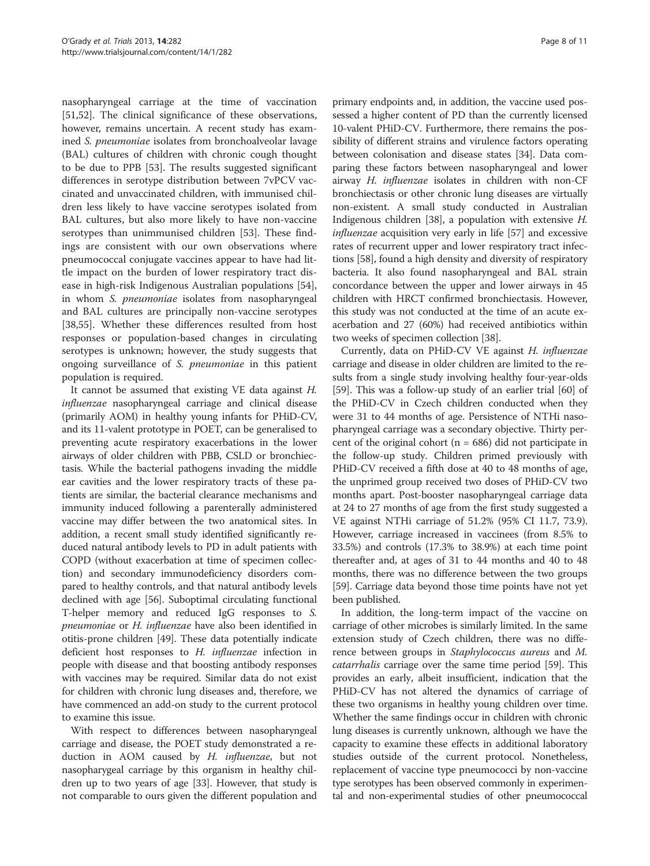nasopharyngeal carriage at the time of vaccination [[51,52\]](#page-10-0). The clinical significance of these observations, however, remains uncertain. A recent study has examined S. pneumoniae isolates from bronchoalveolar lavage (BAL) cultures of children with chronic cough thought to be due to PPB [\[53](#page-10-0)]. The results suggested significant differences in serotype distribution between 7vPCV vaccinated and unvaccinated children, with immunised children less likely to have vaccine serotypes isolated from BAL cultures, but also more likely to have non-vaccine serotypes than unimmunised children [[53\]](#page-10-0). These findings are consistent with our own observations where pneumococcal conjugate vaccines appear to have had little impact on the burden of lower respiratory tract disease in high-risk Indigenous Australian populations [\[54](#page-10-0)], in whom S. pneumoniae isolates from nasopharyngeal and BAL cultures are principally non-vaccine serotypes [[38,](#page-9-0)[55\]](#page-10-0). Whether these differences resulted from host responses or population-based changes in circulating serotypes is unknown; however, the study suggests that ongoing surveillance of S. pneumoniae in this patient population is required.

It cannot be assumed that existing VE data against H. influenzae nasopharyngeal carriage and clinical disease (primarily AOM) in healthy young infants for PHiD-CV, and its 11-valent prototype in POET, can be generalised to preventing acute respiratory exacerbations in the lower airways of older children with PBB, CSLD or bronchiectasis. While the bacterial pathogens invading the middle ear cavities and the lower respiratory tracts of these patients are similar, the bacterial clearance mechanisms and immunity induced following a parenterally administered vaccine may differ between the two anatomical sites. In addition, a recent small study identified significantly reduced natural antibody levels to PD in adult patients with COPD (without exacerbation at time of specimen collection) and secondary immunodeficiency disorders compared to healthy controls, and that natural antibody levels declined with age [[56](#page-10-0)]. Suboptimal circulating functional T-helper memory and reduced IgG responses to S. pneumoniae or H. influenzae have also been identified in otitis-prone children [[49](#page-10-0)]. These data potentially indicate deficient host responses to H. influenzae infection in people with disease and that boosting antibody responses with vaccines may be required. Similar data do not exist for children with chronic lung diseases and, therefore, we have commenced an add-on study to the current protocol to examine this issue.

With respect to differences between nasopharyngeal carriage and disease, the POET study demonstrated a reduction in AOM caused by H. influenzae, but not nasopharygeal carriage by this organism in healthy children up to two years of age [[33](#page-9-0)]. However, that study is not comparable to ours given the different population and primary endpoints and, in addition, the vaccine used possessed a higher content of PD than the currently licensed 10-valent PHiD-CV. Furthermore, there remains the possibility of different strains and virulence factors operating between colonisation and disease states [[34](#page-9-0)]. Data comparing these factors between nasopharyngeal and lower airway H. influenzae isolates in children with non-CF bronchiectasis or other chronic lung diseases are virtually non-existent. A small study conducted in Australian Indigenous children [[38\]](#page-9-0), a population with extensive H. influenzae acquisition very early in life [\[57\]](#page-10-0) and excessive rates of recurrent upper and lower respiratory tract infections [\[58\]](#page-10-0), found a high density and diversity of respiratory bacteria. It also found nasopharyngeal and BAL strain concordance between the upper and lower airways in 45 children with HRCT confirmed bronchiectasis. However, this study was not conducted at the time of an acute exacerbation and 27 (60%) had received antibiotics within two weeks of specimen collection [\[38\]](#page-9-0).

Currently, data on PHiD-CV VE against H. influenzae carriage and disease in older children are limited to the results from a single study involving healthy four-year-olds [[59](#page-10-0)]. This was a follow-up study of an earlier trial [[60](#page-10-0)] of the PHiD-CV in Czech children conducted when they were 31 to 44 months of age. Persistence of NTHi nasopharyngeal carriage was a secondary objective. Thirty percent of the original cohort ( $n = 686$ ) did not participate in the follow-up study. Children primed previously with PHiD-CV received a fifth dose at 40 to 48 months of age, the unprimed group received two doses of PHiD-CV two months apart. Post-booster nasopharyngeal carriage data at 24 to 27 months of age from the first study suggested a VE against NTHi carriage of 51.2% (95% CI 11.7, 73.9). However, carriage increased in vaccinees (from 8.5% to 33.5%) and controls (17.3% to 38.9%) at each time point thereafter and, at ages of 31 to 44 months and 40 to 48 months, there was no difference between the two groups [[59](#page-10-0)]. Carriage data beyond those time points have not yet been published.

In addition, the long-term impact of the vaccine on carriage of other microbes is similarly limited. In the same extension study of Czech children, there was no difference between groups in Staphylococcus aureus and M. catarrhalis carriage over the same time period [\[59\]](#page-10-0). This provides an early, albeit insufficient, indication that the PHiD-CV has not altered the dynamics of carriage of these two organisms in healthy young children over time. Whether the same findings occur in children with chronic lung diseases is currently unknown, although we have the capacity to examine these effects in additional laboratory studies outside of the current protocol. Nonetheless, replacement of vaccine type pneumococci by non-vaccine type serotypes has been observed commonly in experimental and non-experimental studies of other pneumococcal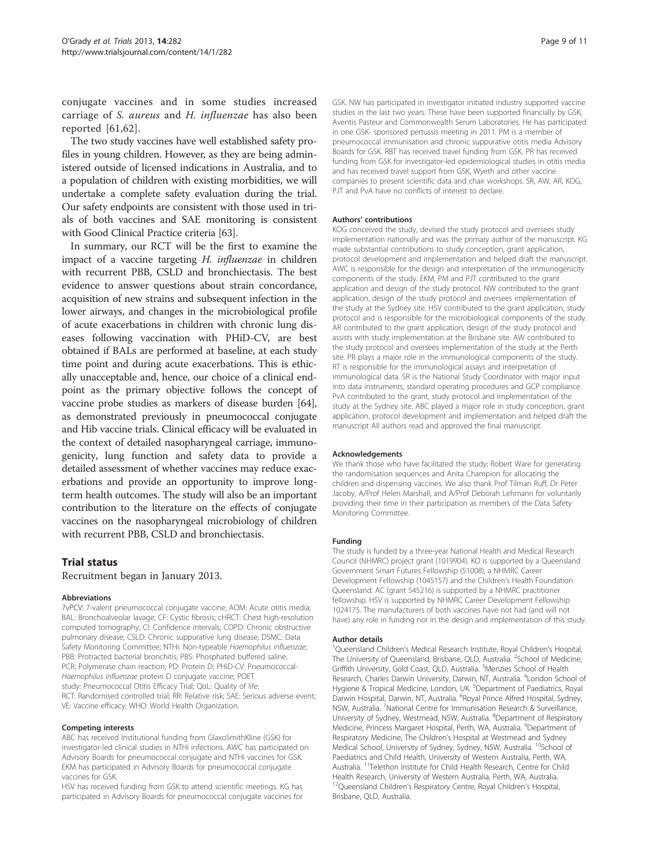conjugate vaccines and in some studies increased carriage of S. aureus and H. influenzae has also been reported [\[61,62](#page-10-0)].

The two study vaccines have well established safety profiles in young children. However, as they are being administered outside of licensed indications in Australia, and to a population of children with existing morbidities, we will undertake a complete safety evaluation during the trial. Our safety endpoints are consistent with those used in trials of both vaccines and SAE monitoring is consistent with Good Clinical Practice criteria [\[63\]](#page-10-0).

In summary, our RCT will be the first to examine the impact of a vaccine targeting H. influenzae in children with recurrent PBB, CSLD and bronchiectasis. The best evidence to answer questions about strain concordance, acquisition of new strains and subsequent infection in the lower airways, and changes in the microbiological profile of acute exacerbations in children with chronic lung diseases following vaccination with PHiD-CV, are best obtained if BALs are performed at baseline, at each study time point and during acute exacerbations. This is ethically unacceptable and, hence, our choice of a clinical endpoint as the primary objective follows the concept of vaccine probe studies as markers of disease burden [[64](#page-10-0)], as demonstrated previously in pneumococcal conjugate and Hib vaccine trials. Clinical efficacy will be evaluated in the context of detailed nasopharyngeal carriage, immunogenicity, lung function and safety data to provide a detailed assessment of whether vaccines may reduce exacerbations and provide an opportunity to improve longterm health outcomes. The study will also be an important contribution to the literature on the effects of conjugate vaccines on the nasopharyngeal microbiology of children with recurrent PBB, CSLD and bronchiectasis.

#### Trial status

Recruitment began in January 2013.

#### Abbreviations

7vPCV: 7-valent pneumococcal conjugate vaccine; AOM: Acute otitis media; BAL: Bronchoalveolar lavage; CF: Cystic fibrosis; cHRCT: Chest high-resolution computed tomography; CI: Confidence intervals; COPD: Chronic obstructive pulmonary disease; CSLD: Chronic suppurative lung disease; DSMC: Data Safety Monitoring Committee; NTHi: Non-typeable Haemophilus influenzae; PBB: Protracted bacterial bronchitis; PBS: Phosphated buffered saline; PCR: Polymerase chain reaction; PD: Protein D; PHiD-CV: Pneumococcal-Haemophilus influenzae protein D conjugate vaccine; POET study: Pneumococcal Otitis Efficacy Trial; QoL: Quality of life; RCT: Randomised controlled trial; RR: Relative risk; SAE: Serious adverse event; VE: Vaccine efficacy; WHO: World Health Organization.

#### Competing interests

ABC has received Institutional funding from GlaxoSmithKline (GSK) for investigator-led clinical studies in NTHi infections. AWC has participated on Advisory Boards for pneumococcal conjugate and NTHi vaccines for GSK. EKM has participated in Advisory Boards for pneumococcal conjugate vaccines for GSK.

HSV has received funding from GSK to attend scientific meetings. KG has participated in Advisory Boards for pneumococcal conjugate vaccines for

GSK. NW has participated in investigator initiated industry supported vaccine studies in the last two years. These have been supported financially by GSK, Aventis Pasteur and Commonwealth Serum Laboratories. He has participated in one GSK- sponsored pertussis meeting in 2011. PM is a member of pneumococcal immunisation and chronic suppurative otitis media Advisory Boards for GSK. RBT has received travel funding from GSK. PR has received funding from GSK for investigator-led epidemiological studies in otitis media and has received travel support from GSK, Wyeth and other vaccine companies to present scientific data and chair workshops. SR, AW, AR, KOG, PJT and PvA have no conflicts of interest to declare.

#### Authors' contributions

KOG conceived the study, devised the study protocol and oversees study implementation nationally and was the primary author of the manuscript. KG made substantial contributions to study conception, grant application, protocol development and implementation and helped draft the manuscript. AWC is responsible for the design and interpretation of the immunogenicity components of the study. EKM, PM and PJT contributed to the grant application and design of the study protocol. NW contributed to the grant application, design of the study protocol and oversees implementation of the study at the Sydney site. HSV contributed to the grant application, study protocol and is responsible for the microbiological components of the study. AR contributed to the grant application, design of the study protocol and assists with study implementation at the Brisbane site. AW contributed to the study protocol and oversees implementation of the study at the Perth site. PR plays a major role in the immunological components of the study. RT is responsible for the immunological assays and interpretation of immunological data. SR is the National Study Coordinator with major input into data instruments, standard operating procedures and GCP compliance. PvA contributed to the grant, study protocol and implementation of the study at the Sydney site. ABC played a major role in study conception, grant application, protocol development and implementation and helped draft the manuscript All authors read and approved the final manuscript.

#### Acknowledgements

We thank those who have facilitated the study; Robert Ware for generating the randomisation sequences and Anita Champion for allocating the children and dispensing vaccines. We also thank Prof Tilman Ruff, Dr Peter Jacoby, A/Prof Helen Marshall, and A/Prof Deborah Lehmann for voluntarily providing their time in their participation as members of the Data Safety Monitoring Committee.

#### Funding

The study is funded by a three-year National Health and Medical Research Council (NHMRC) project grant (1019904). KO is supported by a Queensland Government Smart Futures Fellowship (51008), a NHMRC Career Development Fellowship (1045157) and the Children's Health Foundation Queensland. AC (grant 545216) is supported by a NHMRC practitioner fellowship. HSV is supported by NHMRC Career Development Fellowship 1024175. The manufacturers of both vaccines have not had (and will not have) any role in funding nor in the design and implementation of this study.

#### Author details

<sup>1</sup>Queensland Children's Medical Research Institute, Royal Children's Hospital The University of Queensland, Brisbane, QLD, Australia. <sup>2</sup>School of Medicine Griffith University, Gold Coast, QLD, Australia. <sup>3</sup>Menzies School of Health Research, Charles Darwin University, Darwin, NT, Australia. <sup>4</sup> London School of Hygiene & Tropical Medicine, London, UK. <sup>5</sup>Department of Paediatrics, Royal Darwin Hospital, Darwin, NT, Australia. <sup>6</sup>Royal Prince Alfred Hospital, Sydney NSW, Australia. <sup>7</sup>National Centre for Immunisation Research & Surveillance University of Sydney, Westmead, NSW, Australia. <sup>8</sup>Department of Respiratory Medicine, Princess Margaret Hospital, Perth, WA, Australia. <sup>9</sup>Department of Respiratory Medicine, The Children's Hospital at Westmead and Sydney Medical School, University of Sydney, Sydney, NSW, Australia. <sup>10</sup>School of Paediatrics and Child Health, University of Western Australia, Perth, WA, Australia. 11Telethon Institute for Child Health Research, Centre for Child Health Research, University of Western Australia, Perth, WA, Australia. <sup>12</sup>Queensland Children's Respiratory Centre, Royal Children's Hospital, Brisbane, QLD, Australia.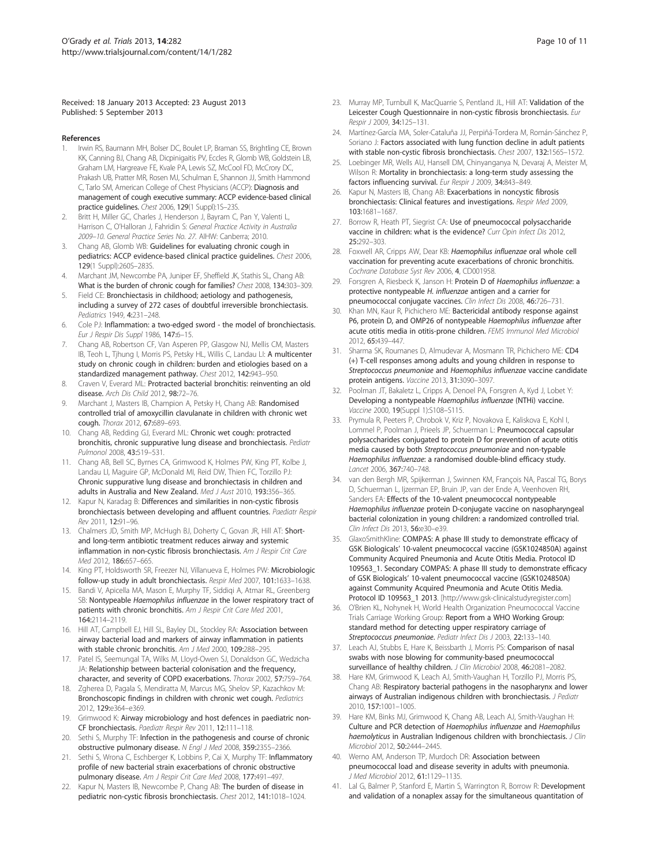#### <span id="page-9-0"></span>Received: 18 January 2013 Accepted: 23 August 2013 Published: 5 September 2013

#### References

- Irwin RS, Baumann MH, Bolser DC, Boulet LP, Braman SS, Brightling CE, Brown KK, Canning BJ, Chang AB, Dicpinigaitis PV, Eccles R, Glomb WB, Goldstein LB, Graham LM, Hargreave FE, Kvale PA, Lewis SZ, McCool FD, McCrory DC, Prakash UB, Pratter MR, Rosen MJ, Schulman E, Shannon JJ, Smith Hammond C, Tarlo SM, American College of Chest Physicians (ACCP): Diagnosis and management of cough executive summary: ACCP evidence-based clinical practice guidelines. Chest 2006, 129(1 Suppl):1S–23S.
- Britt H, Miller GC, Charles J, Henderson J, Bayram C, Pan Y, Valenti L, Harrison C, O'Halloran J, Fahridin S: General Practice Activity in Australia 2009–10. General Practice Series No. 27. AIHW: Canberra; 2010.
- 3. Chang AB, Glomb WB: Guidelines for evaluating chronic cough in pediatrics: ACCP evidence-based clinical practice guidelines. Chest 2006, 129(1 Suppl):260S–283S.
- 4. Marchant JM, Newcombe PA, Juniper EF, Sheffield JK, Stathis SL, Chang AB: What is the burden of chronic cough for families? Chest 2008, 134:303-309.
- 5. Field CE: Bronchiectasis in childhood; aetiology and pathogenesis, including a survey of 272 cases of doubtful irreversible bronchiectasis. Pediatrics 1949, 4:231–248.
- 6. Cole PJ: Inflammation: a two-edged sword the model of bronchiectasis. Eur J Respir Dis Suppl 1986, 147:6–15.
- 7. Chang AB, Robertson CF, Van Asperen PP, Glasgow NJ, Mellis CM, Masters IB, Teoh L, Tjhung I, Morris PS, Petsky HL, Willis C, Landau LI: A multicenter study on chronic cough in children: burden and etiologies based on a standardized management pathway. Chest 2012, 142:943–950.
- Craven V, Everard ML: Protracted bacterial bronchitis: reinventing an old disease. Arch Dis Child 2012, 98:72–76.
- 9. Marchant J, Masters IB, Champion A, Petsky H, Chang AB: Randomised controlled trial of amoxycillin clavulanate in children with chronic wet cough. Thorax 2012, 67:689–693.
- 10. Chang AB, Redding GJ, Everard ML: Chronic wet cough: protracted bronchitis, chronic suppurative lung disease and bronchiectasis. Pediatr Pulmonol 2008, 43:519–531.
- 11. Chang AB, Bell SC, Byrnes CA, Grimwood K, Holmes PW, King PT, Kolbe J, Landau LI, Maguire GP, McDonald MI, Reid DW, Thien FC, Torzillo PJ: Chronic suppurative lung disease and bronchiectasis in children and adults in Australia and New Zealand. Med J Aust 2010, 193:356–365.
- 12. Kapur N, Karadag B: Differences and similarities in non-cystic fibrosis bronchiectasis between developing and affluent countries. Paediatr Respir Rev 2011, 12:91–96.
- 13. Chalmers JD, Smith MP, McHugh BJ, Doherty C, Govan JR, Hill AT: Shortand long-term antibiotic treatment reduces airway and systemic inflammation in non-cystic fibrosis bronchiectasis. Am J Respir Crit Care Med 2012, 186:657–665.
- 14. King PT, Holdsworth SR, Freezer NJ, Villanueva E, Holmes PW: Microbiologic follow-up study in adult bronchiectasis. Respir Med 2007, 101:1633–1638.
- 15. Bandi V, Apicella MA, Mason E, Murphy TF, Siddiqi A, Atmar RL, Greenberg SB: Nontypeable Haemophilus influenzae in the lower respiratory tract of patients with chronic bronchitis. Am J Respir Crit Care Med 2001, 164:2114–2119.
- 16. Hill AT, Campbell EJ, Hill SL, Bayley DL, Stockley RA: Association between airway bacterial load and markers of airway inflammation in patients with stable chronic bronchitis. Am J Med 2000, 109:288–295.
- 17. Patel IS, Seemungal TA, Wilks M, Lloyd-Owen SJ, Donaldson GC, Wedzicha JA: Relationship between bacterial colonisation and the frequency, character, and severity of COPD exacerbations. Thorax 2002, 57:759–764.
- 18. Zgherea D, Pagala S, Mendiratta M, Marcus MG, Shelov SP, Kazachkov M: Bronchoscopic findings in children with chronic wet cough. Pediatrics 2012, 129:e364–e369.
- 19. Grimwood K: Airway microbiology and host defences in paediatric non-CF bronchiectasis. Paediatr Respir Rev 2011, 12:111–118.
- 20. Sethi S, Murphy TF: Infection in the pathogenesis and course of chronic obstructive pulmonary disease. N Engl J Med 2008, 359:2355–2366.
- 21. Sethi S, Wrona C, Eschberger K, Lobbins P, Cai X, Murphy TF: Inflammatory profile of new bacterial strain exacerbations of chronic obstructive pulmonary disease. Am J Respir Crit Care Med 2008, 177:491-497.
- 22. Kapur N, Masters IB, Newcombe P, Chang AB: The burden of disease in pediatric non-cystic fibrosis bronchiectasis. Chest 2012, 141:1018–1024.
- 23. Murray MP, Turnbull K, MacQuarrie S, Pentland JL, Hill AT: Validation of the Leicester Cough Questionnaire in non-cystic fibrosis bronchiectasis. Eur Respir J 2009, 34:125–131.
- 24. Martínez-García MA, Soler-Cataluña JJ, Perpiñá-Tordera M, Román-Sánchez P, Soriano J: Factors associated with lung function decline in adult patients with stable non-cystic fibrosis bronchiectasis. Chest 2007, 132:1565–1572.
- 25. Loebinger MR, Wells AU, Hansell DM, Chinyanganya N, Devaraj A, Meister M, Wilson R: Mortality in bronchiectasis: a long-term study assessing the factors influencing survival. Eur Respir J 2009, 34:843–849.
- 26. Kapur N, Masters IB, Chang AB: Exacerbations in noncystic fibrosis bronchiectasis: Clinical features and investigations. Respir Med 2009, 103:1681–1687.
- 27. Borrow R, Heath PT, Siegrist CA: Use of pneumococcal polysaccharide vaccine in children: what is the evidence? Curr Opin Infect Dis 2012, 25:292–303.
- 28. Foxwell AR, Cripps AW, Dear KB: Haemophilus influenzae oral whole cell vaccination for preventing acute exacerbations of chronic bronchitis. Cochrane Database Syst Rev 2006, 4, CD001958.
- 29. Forsgren A, Riesbeck K, Janson H: Protein D of Haemophilus influenzae: a protective nontypeable H. influenzae antigen and a carrier for pneumococcal conjugate vaccines. Clin Infect Dis 2008, 46:726–731.
- 30. Khan MN, Kaur R, Pichichero ME: Bactericidal antibody response against P6, protein D, and OMP26 of nontypeable Haemophilus influenzae after acute otitis media in otitis-prone children. FEMS Immunol Med Microbiol 2012, 65:439–447.
- 31. Sharma SK, Roumanes D, Almudevar A, Mosmann TR, Pichichero ME: CD4 (+) T-cell responses among adults and young children in response to Streptococcus pneumoniae and Haemophilus influenzae vaccine candidate protein antigens. Vaccine 2013, 31:3090–3097.
- 32. Poolman JT, Bakaletz L, Cripps A, Denoel PA, Forsgren A, Kyd J, Lobet Y: Developing a nontypeable Haemophilus influenzae (NTHi) vaccine. Vaccine 2000, 19(Suppl 1):S108–S115.
- 33. Prymula R, Peeters P, Chrobok V, Kriz P, Novakova E, Kaliskova E, Kohl I, Lommel P, Poolman J, Prieels JP, Schuerman L: Pneumococcal capsular polysaccharides conjugated to protein D for prevention of acute otitis media caused by both Streptococcus pneumoniae and non-typable Haemophilus influenzae: a randomised double-blind efficacy study. Lancet 2006, 367:740–748.
- 34. van den Bergh MR, Spijkerman J, Swinnen KM, François NA, Pascal TG, Borys D, Schuerman L, Ijzerman EP, Bruin JP, van der Ende A, Veenhoven RH, Sanders EA: Effects of the 10-valent pneumococcal nontypeable Haemophilus influenzae protein D-conjugate vaccine on nasopharyngeal bacterial colonization in young children: a randomized controlled trial. Clin Infect Dis 2013, 56:e30–e39.
- 35. GlaxoSmithKline: COMPAS: A phase III study to demonstrate efficacy of GSK Biologicals' 10-valent pneumococcal vaccine (GSK1024850A) against Community Acquired Pneumonia and Acute Otitis Media. Protocol ID 109563\_1. Secondary COMPAS: A phase III study to demonstrate efficacy of GSK Biologicals' 10-valent pneumococcal vaccine (GSK1024850A) against Community Acquired Pneumonia and Acute Otitis Media. Protocol ID 109563\_1 2013. [[http://www.gsk-clinicalstudyregister.com\]](http://www.gsk-clinicalstudyregister.com)
- 36. O'Brien KL, Nohynek H, World Health Organization Pneumococcal Vaccine Trials Carriage Working Group: Report from a WHO Working Group: standard method for detecting upper respiratory carriage of Streptococcus pneumoniae. Pediatr Infect Dis J 2003, 22:133-140.
- 37. Leach AJ, Stubbs E, Hare K, Beissbarth J, Morris PS: Comparison of nasal swabs with nose blowing for community-based pneumococcal surveillance of healthy children. J Clin Microbiol 2008, 46:2081-2082.
- 38. Hare KM, Grimwood K, Leach AJ, Smith-Vaughan H, Torzillo PJ, Morris PS, Chang AB: Respiratory bacterial pathogens in the nasopharynx and lower airways of Australian indigenous children with bronchiectasis. J Pediatr 2010, 157:1001–1005.
- 39. Hare KM, Binks MJ, Grimwood K, Chang AB, Leach AJ, Smith-Vaughan H: Culture and PCR detection of Haemophilus influenzae and Haemophilus haemolyticus in Australian Indigenous children with bronchiectasis. J Clin Microbiol 2012, 50:2444–2445.
- 40. Werno AM, Anderson TP, Murdoch DR: Association between pneumococcal load and disease severity in adults with pneumonia. J Med Microbiol 2012, 61:1129–1135.
- 41. Lal G, Balmer P, Stanford E, Martin S, Warrington R, Borrow R: Development and validation of a nonaplex assay for the simultaneous quantitation of